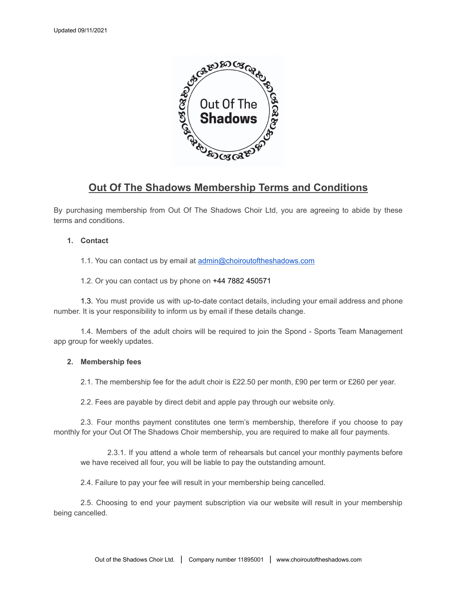

# **Out Of The Shadows Membership Terms and Conditions**

By purchasing membership from Out Of The Shadows Choir Ltd, you are agreeing to abide by these terms and conditions.

# **1. Contact**

1.1. You can contact us by email at [admin@choiroutoftheshadows.com](mailto:admin@choiroutoftheshadows.com)

1.2. Or you can contact us by phone on +44 7882 450571

1.3. You must provide us with up-to-date contact details, including your email address and phone number. It is your responsibility to inform us by email if these details change.

1.4. Members of the adult choirs will be required to join the Spond - Sports Team Management app group for weekly updates.

# **2. Membership fees**

2.1. The membership fee for the adult choir is £22.50 per month, £90 per term or £260 per year.

2.2. Fees are payable by direct debit and apple pay through our website only.

2.3. Four months payment constitutes one term's membership, therefore if you choose to pay monthly for your Out Of The Shadows Choir membership, you are required to make all four payments.

2.3.1. If you attend a whole term of rehearsals but cancel your monthly payments before we have received all four, you will be liable to pay the outstanding amount.

2.4. Failure to pay your fee will result in your membership being cancelled.

2.5. Choosing to end your payment subscription via our website will result in your membership being cancelled.